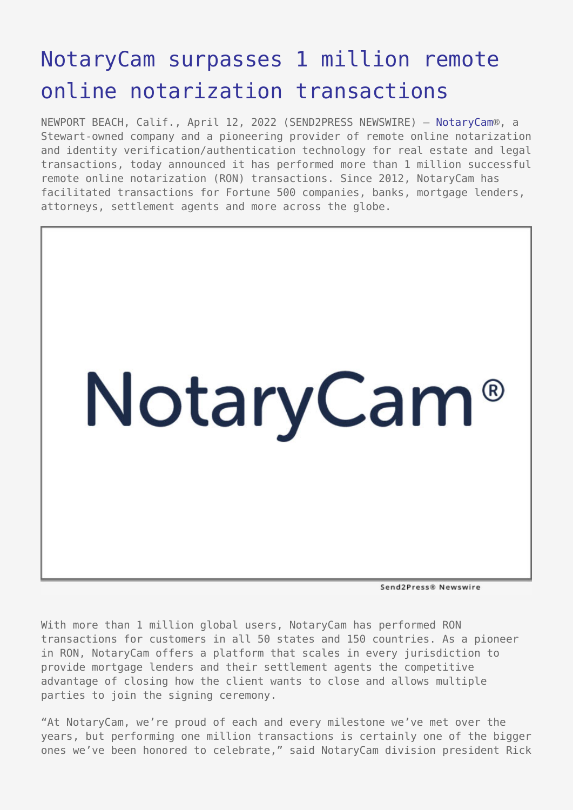## [NotaryCam surpasses 1 million remote](https://www.send2press.com/wire/notarycam-surpasses-1-million-remote-online-notarization-transactions/) [online notarization transactions](https://www.send2press.com/wire/notarycam-surpasses-1-million-remote-online-notarization-transactions/)

NEWPORT BEACH, Calif., April 12, 2022 (SEND2PRESS NEWSWIRE) — [NotaryCam®](https://www.notarycam.com/), a Stewart-owned company and a pioneering provider of remote online notarization and identity verification/authentication technology for real estate and legal transactions, today announced it has performed more than 1 million successful remote online notarization (RON) transactions. Since 2012, NotaryCam has facilitated transactions for Fortune 500 companies, banks, mortgage lenders, attorneys, settlement agents and more across the globe.



Send2Press® Newswire

With more than 1 million global users, NotaryCam has performed RON transactions for customers in all 50 states and 150 countries. As a pioneer in RON, NotaryCam offers a platform that scales in every jurisdiction to provide mortgage lenders and their settlement agents the competitive advantage of closing how the client wants to close and allows multiple parties to join the signing ceremony.

"At NotaryCam, we're proud of each and every milestone we've met over the years, but performing one million transactions is certainly one of the bigger ones we've been honored to celebrate," said NotaryCam division president Rick